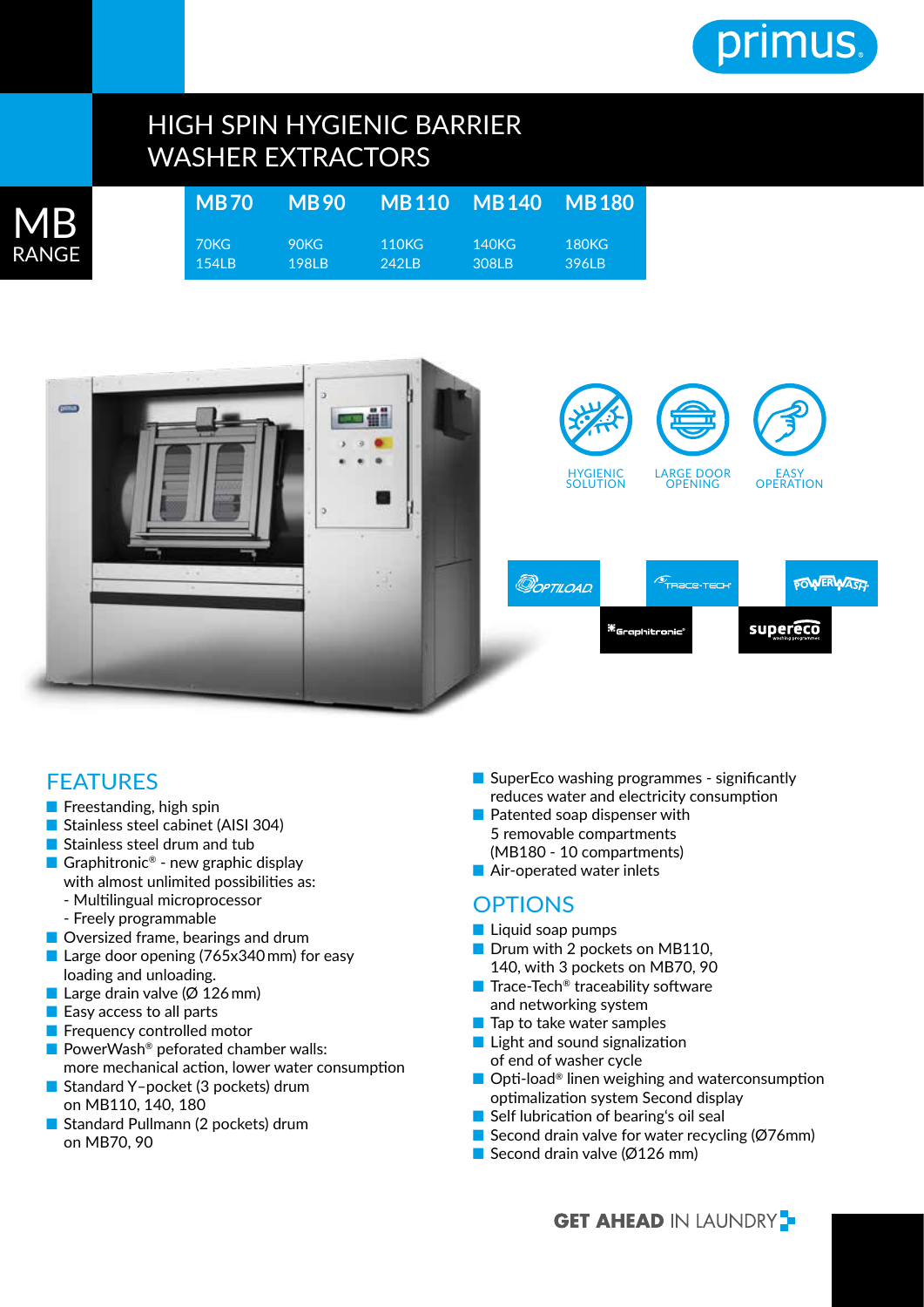

# HIGH SPIN HYGIENIC BARRIER WASHER EXTRACTORS

| MB    | <b>MB70</b> | <b>MB90</b> |       | MB110 MB140 | <b>MB180</b> |
|-------|-------------|-------------|-------|-------------|--------------|
| RANGE | 70KG        | 90KG        | 110KG | 140KG       | 180KG        |
|       | $154$ IB    | 1981 B      | 242LB | 308LB       | 396LB        |



## FEATURES

 $\overline{\mathsf{R}}$ 

- Freestanding, high spin
- Stainless steel cabinet (AISI 304)
- Stainless steel drum and tub
- Graphitronic<sup>®</sup> new graphic display with almost unlimited possibilities as:
	- Multilingual microprocessor
	- Freely programmable
- Oversized frame, bearings and drum
- Large door opening (765x340 mm) for easy loading and unloading.
- Large drain valve ( $\varnothing$  126 mm)
- Easy access to all parts
- Frequency controlled motor
- PowerWash<sup>®</sup> peforated chamber walls:
- more mechanical action, lower water consumption ■ Standard Y-pocket (3 pockets) drum
- on MB110, 140, 180 ■ Standard Pullmann (2 pockets) drum
- on MB70, 90
- SuperEco washing programmes significantly reduces water and electricity consumption
- Patented soap dispenser with 5 removable compartments (MB180 - 10 compartments)
- Air-operated water inlets

### **OPTIONS**

- Liquid soap pumps
- Drum with 2 pockets on MB110, 140, with 3 pockets on MB70, 90
- Trace-Tech<sup>®</sup> traceability software and networking system
- Tap to take water samples
- Light and sound signalization of end of washer cycle
- Opti-load<sup>®</sup> linen weighing and waterconsumption optimalization system Second display
- Self lubrication of bearing's oil seal
- Second drain valve for water recycling  $(Ø76$ mm)
- Second drain valve ( $\emptyset$ 126 mm)

**GET AHEAD IN LAUNDRY**